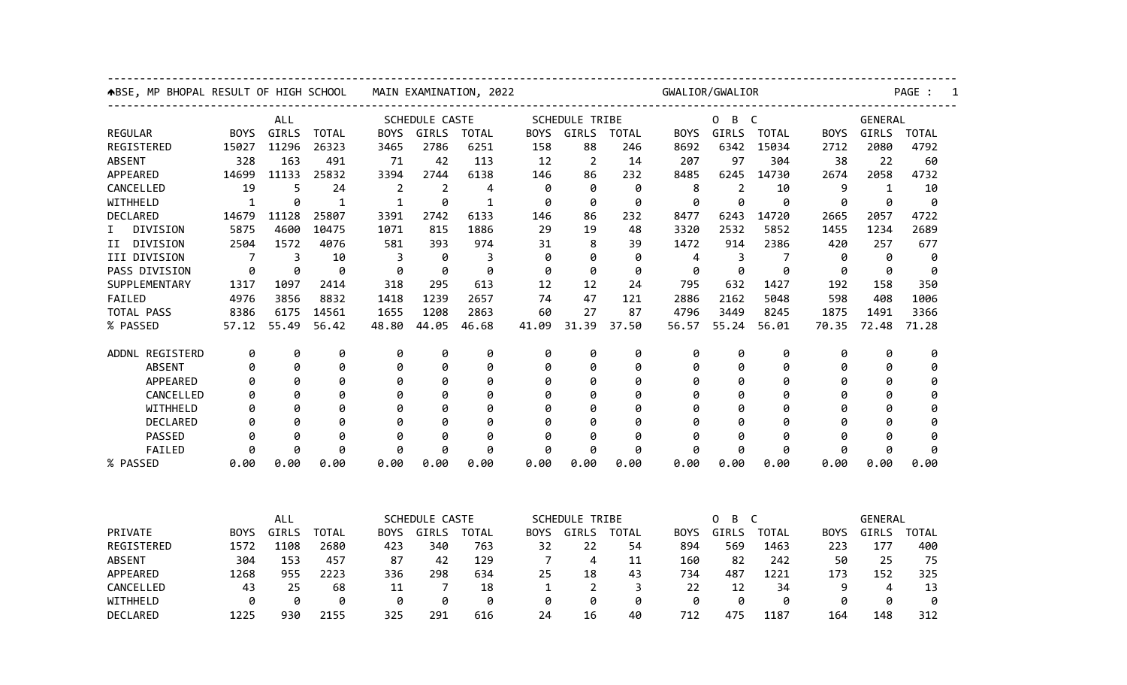| <b>↑BSE, MP BHOPAL RESULT OF HIGH SCHOOL</b> |             |       | MAIN EXAMINATION, 2022 |             | GWALIOR/GWALIOR<br>---------------------------------- |              |                                                  |                                |              |              |                |                |             |         |              |  |
|----------------------------------------------|-------------|-------|------------------------|-------------|-------------------------------------------------------|--------------|--------------------------------------------------|--------------------------------|--------------|--------------|----------------|----------------|-------------|---------|--------------|--|
| <b>ALL</b>                                   |             |       | <b>SCHEDULE CASTE</b>  |             |                                                       |              | . <u>.</u> .<br><b>SCHEDULE TRIBE</b><br>$0$ B C |                                |              |              |                |                |             | GENERAL |              |  |
| <b>REGULAR</b>                               | <b>BOYS</b> | GIRLS | <b>TOTAL</b>           | <b>BOYS</b> | GIRLS                                                 | <b>TOTAL</b> | <b>BOYS</b>                                      | GIRLS                          | <b>TOTAL</b> | <b>BOYS</b>  | GIRLS          | <b>TOTAL</b>   | <b>BOYS</b> | GIRLS   | <b>TOTAL</b> |  |
| REGISTERED                                   | 15027       | 11296 | 26323                  | 3465        | 2786                                                  | 6251         | 158                                              | 88                             | 246          | 8692         | 6342           | 15034          | 2712        | 2080    | 4792         |  |
| <b>ABSENT</b>                                | 328         | 163   | 491                    | 71          | 42                                                    | 113          | 12                                               | $\overline{2}$                 | 14           | 207          | 97             | 304            | 38          | 22      | 60           |  |
| APPEARED                                     | 14699       | 11133 | 25832                  | 3394        | 2744                                                  | 6138         | 146                                              | 86                             | 232          | 8485         | 6245           | 14730          | 2674        | 2058    | 4732         |  |
| CANCELLED                                    | 19          | 5     | 24                     | 2           | $\overline{2}$                                        | 4            | 0                                                | 0                              | 0            | 8            | $\overline{2}$ | 10             | 9           | 1       | 10           |  |
| WITHHELD                                     | 1           | 0     | 1                      | 1           | 0                                                     | 1            | 0                                                | 0                              | 0            | 0            | 0              | ø              | 0           | 0       | 0            |  |
| DECLARED                                     | 14679       | 11128 | 25807                  | 3391        | 2742                                                  | 6133         | 146                                              | 86                             | 232          | 8477         | 6243           | 14720          | 2665        | 2057    | 4722         |  |
| DIVISION<br>I.                               | 5875        | 4600  | 10475                  | 1071        | 815                                                   | 1886         | 29                                               | 19                             | 48           | 3320         | 2532           | 5852           | 1455        | 1234    | 2689         |  |
| II DIVISION                                  | 2504        | 1572  | 4076                   | 581         | 393                                                   | 974          | 31                                               | 8                              | 39           | 1472         | 914            | 2386           | 420         | 257     | 677          |  |
| III DIVISION                                 | 7           | 3     | 10                     | 3           | 0                                                     | 3            | 0                                                | 0                              | 0            | 4            | 3              | 7              | 0           | 0       | 0            |  |
| PASS DIVISION                                | 0           | 0     | 0                      | 0           | 0                                                     | 0            | 0                                                | 0                              | 0            | 0            | 0              | Ø              | 0           | 0       | 0            |  |
| SUPPLEMENTARY                                | 1317        | 1097  | 2414                   | 318         | 295                                                   | 613          | 12                                               | 12                             | 24           | 795          | 632            | 1427           | 192         | 158     | 350          |  |
| FAILED                                       | 4976        | 3856  | 8832                   | 1418        | 1239                                                  | 2657         | 74                                               | 47                             | 121          | 2886         | 2162           | 5048           | 598         | 408     | 1006         |  |
| TOTAL PASS                                   | 8386        | 6175  | 14561                  | 1655        | 1208                                                  | 2863         | 60                                               | 27                             | 87           | 4796         | 3449           | 8245           | 1875        | 1491    | 3366         |  |
| % PASSED                                     | 57.12       | 55.49 | 56.42                  | 48.80       | 44.05                                                 | 46.68        | 41.09                                            | 31.39                          | 37.50        | 56.57        | 55.24          | 56.01          | 70.35       | 72.48   | 71.28        |  |
| ADDNL REGISTERD                              | 0           | 0     | 0                      | 0           | 0                                                     | 0            | 0                                                | 0                              | 0            | 0            | 0              | 0              | 0           | 0       | 0            |  |
| <b>ABSENT</b>                                | 0           | 0     | 0                      | 0           | 0                                                     | 0            | 0                                                | 0                              | 0            | 0            | 0              | 0              | 0           | 0       | 0            |  |
| APPEARED                                     | 0           | 0     | 0                      | 0           | 0                                                     | 0            | 0                                                | 0                              | Ø            | 0            | 0              | Ø              | 0           | 0       | ø            |  |
| CANCELLED                                    | ø           | 0     | 0                      | Ø           | 0                                                     | 0            | 0                                                | 0                              | Ø            | 0            | 0              | $\theta$       | 0           | 0       |              |  |
| WITHHELD                                     | 0           | 0     | 0                      | g           | 0                                                     | 0            | 0                                                | 0                              | Ø            | 0            | 0              | $\theta$       | 0           | 0       | Ø            |  |
| DECLARED                                     | 0           | 0     | 0                      | Ø           | 0                                                     | 0            | 0                                                | 0                              | Ø            | 0            | 0              | $\theta$       | 0           | 0       | ø            |  |
| PASSED                                       | 0           | 0     | 0                      | 0           | 0                                                     | 0            | 0                                                | 0                              | Ø            | 0            | 0              | Ø              | 0           | Ø       | 0            |  |
| FAILED                                       | 0           | 0     | 0                      | 0           | 0                                                     | 0            | 0                                                | 0                              | 0            | 0            | 0              | 0              | 0           | Ø       | 0            |  |
| % PASSED                                     | 0.00        | 0.00  | 0.00                   | 0.00        | 0.00                                                  | 0.00         | 0.00                                             | 0.00                           | 0.00         | 0.00         | 0.00           | 0.00           | 0.00        | 0.00    | 0.00         |  |
|                                              |             |       |                        |             |                                                       |              |                                                  |                                |              |              |                |                |             |         |              |  |
|                                              | <b>ALL</b>  |       | <b>SCHEDULE CASTE</b>  |             | <b>SCHEDULE TRIBE</b>                                 |              |                                                  | $\mathbf{0}$<br>$\overline{B}$ |              | $\mathsf{C}$ |                | <b>GENERAL</b> |             |         |              |  |
| PRIVATE                                      | <b>BOYS</b> | GIRLS | <b>TOTAL</b>           | <b>BOYS</b> | GIRLS                                                 | <b>TOTAL</b> | <b>BOYS</b>                                      | GIRLS                          | <b>TOTAL</b> | <b>BOYS</b>  | GIRLS          | <b>TOTAL</b>   | <b>BOYS</b> | GIRLS   | <b>TOTAL</b> |  |
| REGISTERED                                   | 1572        | 1108  | 2680                   | 423         | 340                                                   | 763          | 32                                               | 22                             | 54           | 894          | 569            | 1463           | 223         | 177     | 400          |  |
| <b>ABSENT</b>                                | 304         | 153   | 457                    | 87          | 42                                                    | 129          | 7                                                | 4                              | 11           | 160          | 82             | 242            | 50          | 25      | 75           |  |
| APPEARED                                     | 1268        | 955   | 2223                   | 336         | 298                                                   | 634          | 25                                               | 18                             | 43           | 734          | 487            | 1221           | 173         | 152     | 325          |  |
| CANCELLED                                    | 43          | 25    | 68                     | 11          | 7                                                     | 18           | $\mathbf{1}$                                     | 2                              | 3            | 22           | 12             | 34             | 9           | 4       | 13           |  |
| WITHHELD                                     | 0           | 0     | 0                      | 0           | 0                                                     | 0            | 0                                                | 0                              | 0            | 0            | 0              | 0              | 0           | 0       | 0            |  |
| DECLARED                                     | 1225        | 930   | 2155                   | 325         | 291                                                   | 616          | 24                                               | 16                             | 40           | 712          | 475            | 1187           | 164         | 148     | 312          |  |